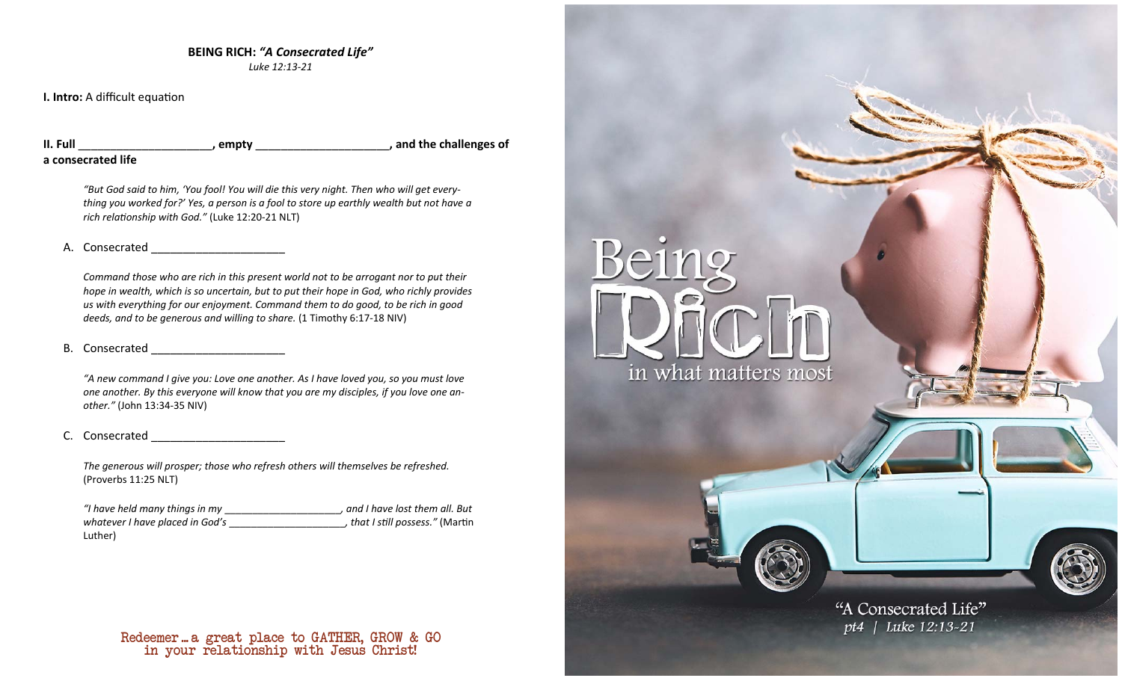# **BEING RICH:** *"A Consecrated Life"*

*Luke 12:13-21* 

**I. Intro:** A difficult equation

**II. Full** \_\_\_\_\_\_\_\_\_\_\_\_\_\_\_\_\_\_\_\_\_**, empty** \_\_\_\_\_\_\_\_\_\_\_\_\_\_\_\_\_\_\_\_\_**, and the challenges of a consecrated life**

*"But God said to him, 'You fool! You will die this very night. Then who will get everything you worked for?' Yes, a person is a fool to store up earthly wealth but not have a*  rich relationship with God." (Luke 12:20-21 NLT)

#### A. Consecrated

*Command those who are rich in this present world not to be arrogant nor to put their hope in wealth, which is so uncertain, but to put their hope in God, who richly provides us with everything for our enjoyment. Command them to do good, to be rich in good deeds, and to be generous and willing to share.* (1 Timothy 6:17-18 NIV)

#### B. Consecrated \_\_\_\_\_\_\_\_\_\_\_\_\_\_\_\_\_\_\_\_\_

*"A new command I give you: Love one another. As I have loved you, so you must love one another. By this everyone will know that you are my disciples, if you love one another."* (John 13:34-35 NIV)

#### C. Consecrated **C. Consecrated**

*The generous will prosper; those who refresh others will themselves be refreshed.* (Proverbs 11:25 NLT)

*"I have held many things in my* \_\_\_\_\_\_\_\_\_\_\_\_\_\_\_\_\_\_\_\_\_*, and I have lost them all. But whatever I have placed in God's* \_\_\_\_\_\_\_\_\_\_\_\_\_\_\_\_\_\_\_\_\_*, that I sƟll possess."* (MarƟn Luther)

in your relationship with Jesus Christ! Redeemer ... a great place to GATHER, GROW & GO